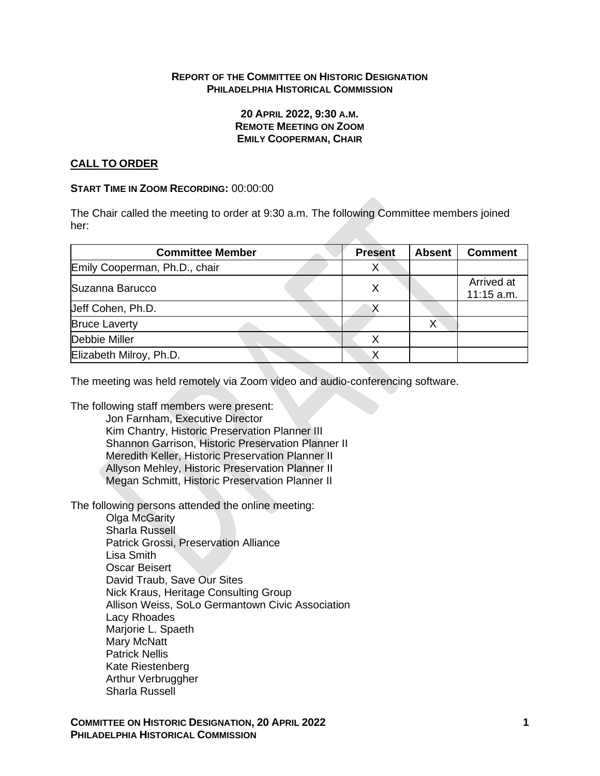#### **REPORT OF THE COMMITTEE ON HISTORIC DESIGNATION PHILADELPHIA HISTORICAL COMMISSION**

#### **20 APRIL 2022, 9:30 A.M. REMOTE MEETING ON ZOOM EMILY COOPERMAN, CHAIR**

## **CALL TO ORDER**

#### **START TIME IN ZOOM RECORDING:** 00:00:00

The Chair called the meeting to order at 9:30 a.m. The following Committee members joined her:

| <b>Committee Member</b>       | <b>Present</b> | <b>Absent</b> | <b>Comment</b>           |
|-------------------------------|----------------|---------------|--------------------------|
| Emily Cooperman, Ph.D., chair | X              |               |                          |
| Suzanna Barucco               | Χ              |               | Arrived at<br>11:15 a.m. |
| Ueff Cohen, Ph.D.             |                |               |                          |
| <b>Bruce Laverty</b>          |                | x             |                          |
| Debbie Miller                 | x              |               |                          |
| Elizabeth Milroy, Ph.D.       |                |               |                          |

The meeting was held remotely via Zoom video and audio-conferencing software.

The following staff members were present: Jon Farnham, Executive Director

Kim Chantry, Historic Preservation Planner III Shannon Garrison, Historic Preservation Planner II Meredith Keller, Historic Preservation Planner II Allyson Mehley, Historic Preservation Planner II Megan Schmitt, Historic Preservation Planner II

The following persons attended the online meeting:

Olga McGarity Sharla Russell Patrick Grossi, Preservation Alliance Lisa Smith Oscar Beisert David Traub, Save Our Sites Nick Kraus, Heritage Consulting Group Allison Weiss, SoLo Germantown Civic Association Lacy Rhoades Marjorie L. Spaeth Mary McNatt Patrick Nellis Kate Riestenberg Arthur Verbruggher Sharla Russell

**COMMITTEE ON HISTORIC DESIGNATION, 20 APRIL 2022 1 PHILADELPHIA HISTORICAL COMMISSION**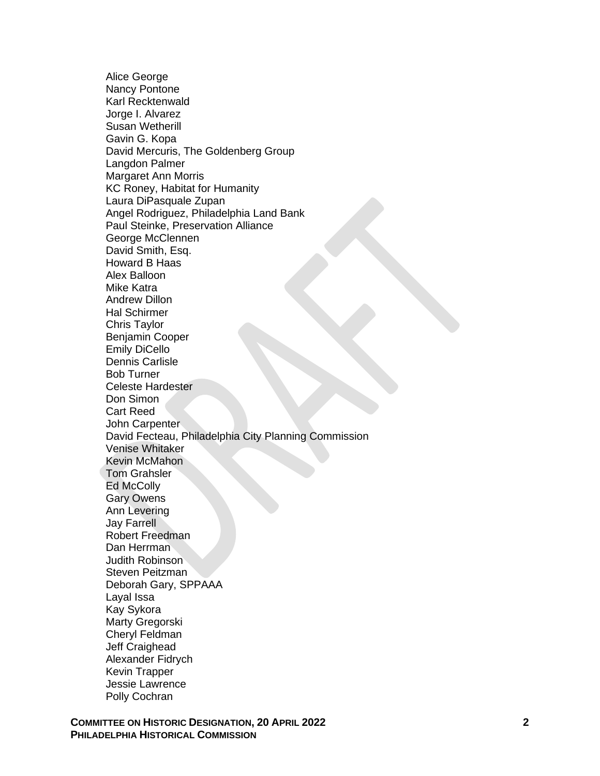Alice George Nancy Pontone Karl Recktenwald Jorge I. Alvarez Susan Wetherill Gavin G. Kopa David Mercuris, The Goldenberg Group Langdon Palmer Margaret Ann Morris KC Roney, Habitat for Humanity Laura DiPasquale Zupan Angel Rodriguez, Philadelphia Land Bank Paul Steinke, Preservation Alliance George McClennen David Smith, Esq. Howard B Haas Alex Balloon Mike Katra Andrew Dillon Hal Schirmer Chris Taylor Benjamin Cooper Emily DiCello Dennis Carlisle Bob Turner Celeste Hardester Don Simon Cart Reed John Carpenter David Fecteau, Philadelphia City Planning Commission Venise Whitaker Kevin McMahon Tom Grahsler **Ed McColly** Gary Owens Ann Levering Jay Farrell Robert Freedman Dan Herrman Judith Robinson Steven Peitzman Deborah Gary, SPPAAA Layal Issa Kay Sykora Marty Gregorski Cheryl Feldman Jeff Craighead Alexander Fidrych Kevin Trapper Jessie Lawrence Polly Cochran

**COMMITTEE ON HISTORIC DESIGNATION , 20 APRIL 2022 PHILADELPHIA HISTORICAL COMMISSION**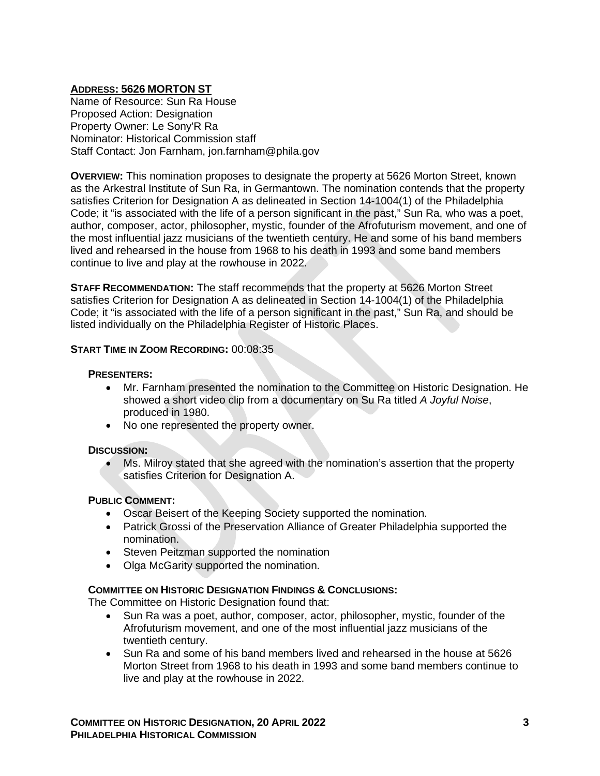## **ADDRESS: 5626 MORTON ST**

Name of Resource: Sun Ra House Proposed Action: Designation Property Owner: Le Sony'R Ra Nominator: Historical Commission staff Staff Contact: Jon Farnham, jon.farnham@phila.gov

**OVERVIEW:** This nomination proposes to designate the property at 5626 Morton Street, known as the Arkestral Institute of Sun Ra, in Germantown. The nomination contends that the property satisfies Criterion for Designation A as delineated in Section 14-1004(1) of the Philadelphia Code; it "is associated with the life of a person significant in the past," Sun Ra, who was a poet, author, composer, actor, philosopher, mystic, founder of the Afrofuturism movement, and one of the most influential jazz musicians of the twentieth century. He and some of his band members lived and rehearsed in the house from 1968 to his death in 1993 and some band members continue to live and play at the rowhouse in 2022.

**STAFF RECOMMENDATION:** The staff recommends that the property at 5626 Morton Street satisfies Criterion for Designation A as delineated in Section 14-1004(1) of the Philadelphia Code; it "is associated with the life of a person significant in the past," Sun Ra, and should be listed individually on the Philadelphia Register of Historic Places.

## **START TIME IN ZOOM RECORDING:** 00:08:35

#### **PRESENTERS:**

- Mr. Farnham presented the nomination to the Committee on Historic Designation. He showed a short video clip from a documentary on Su Ra titled *A Joyful Noise*, produced in 1980.
- No one represented the property owner.

#### **DISCUSSION:**

• Ms. Milroy stated that she agreed with the nomination's assertion that the property satisfies Criterion for Designation A.

## **PUBLIC COMMENT:**

- Oscar Beisert of the Keeping Society supported the nomination.
- Patrick Grossi of the Preservation Alliance of Greater Philadelphia supported the nomination.
- Steven Peitzman supported the nomination
- Olga McGarity supported the nomination.

#### **COMMITTEE ON HISTORIC DESIGNATION FINDINGS & CONCLUSIONS:**

The Committee on Historic Designation found that:

- Sun Ra was a poet, author, composer, actor, philosopher, mystic, founder of the Afrofuturism movement, and one of the most influential jazz musicians of the twentieth century.
- Sun Ra and some of his band members lived and rehearsed in the house at 5626 Morton Street from 1968 to his death in 1993 and some band members continue to live and play at the rowhouse in 2022.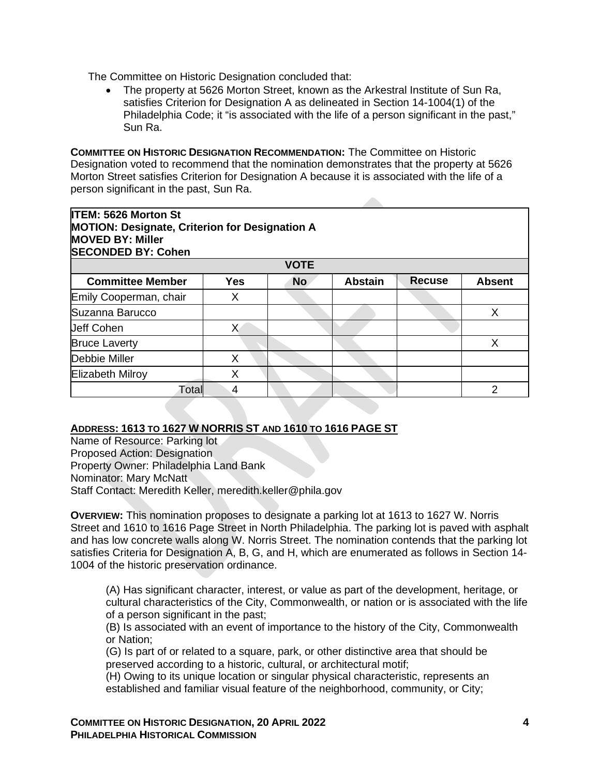The Committee on Historic Designation concluded that:

• The property at 5626 Morton Street, known as the Arkestral Institute of Sun Ra, satisfies Criterion for Designation A as delineated in Section 14-1004(1) of the Philadelphia Code; it "is associated with the life of a person significant in the past," Sun Ra.

**COMMITTEE ON HISTORIC DESIGNATION RECOMMENDATION:** The Committee on Historic Designation voted to recommend that the nomination demonstrates that the property at 5626 Morton Street satisfies Criterion for Designation A because it is associated with the life of a person significant in the past, Sun Ra.

# **ITEM: 5626 Morton St MOTION: Designate, Criterion for Designation A MOVED BY: Miller SECONDED BY: Cohen**

| <b>VOTE</b>             |            |           |                |               |               |  |  |
|-------------------------|------------|-----------|----------------|---------------|---------------|--|--|
| <b>Committee Member</b> | <b>Yes</b> | <b>No</b> | <b>Abstain</b> | <b>Recuse</b> | <b>Absent</b> |  |  |
| Emily Cooperman, chair  |            |           |                |               |               |  |  |
| Suzanna Barucco         |            |           |                |               |               |  |  |
| <b>Jeff Cohen</b>       |            |           |                |               |               |  |  |
| <b>Bruce Laverty</b>    |            |           |                |               |               |  |  |
| Debbie Miller           |            |           |                |               |               |  |  |
| Elizabeth Milroy        |            |           |                |               |               |  |  |
| Total                   | 4          |           |                |               |               |  |  |

## **ADDRESS: 1613 TO 1627 W NORRIS ST AND 1610 TO 1616 PAGE ST**

Name of Resource: Parking lot Proposed Action: Designation Property Owner: Philadelphia Land Bank Nominator: Mary McNatt Staff Contact: Meredith Keller, meredith.keller@phila.gov

**OVERVIEW:** This nomination proposes to designate a parking lot at 1613 to 1627 W. Norris Street and 1610 to 1616 Page Street in North Philadelphia. The parking lot is paved with asphalt and has low concrete walls along W. Norris Street. The nomination contends that the parking lot satisfies Criteria for Designation A, B, G, and H, which are enumerated as follows in Section 14- 1004 of the historic preservation ordinance.

(A) Has significant character, interest, or value as part of the development, heritage, or cultural characteristics of the City, Commonwealth, or nation or is associated with the life of a person significant in the past;

(B) Is associated with an event of importance to the history of the City, Commonwealth or Nation;

(G) Is part of or related to a square, park, or other distinctive area that should be preserved according to a historic, cultural, or architectural motif;

(H) Owing to its unique location or singular physical characteristic, represents an established and familiar visual feature of the neighborhood, community, or City;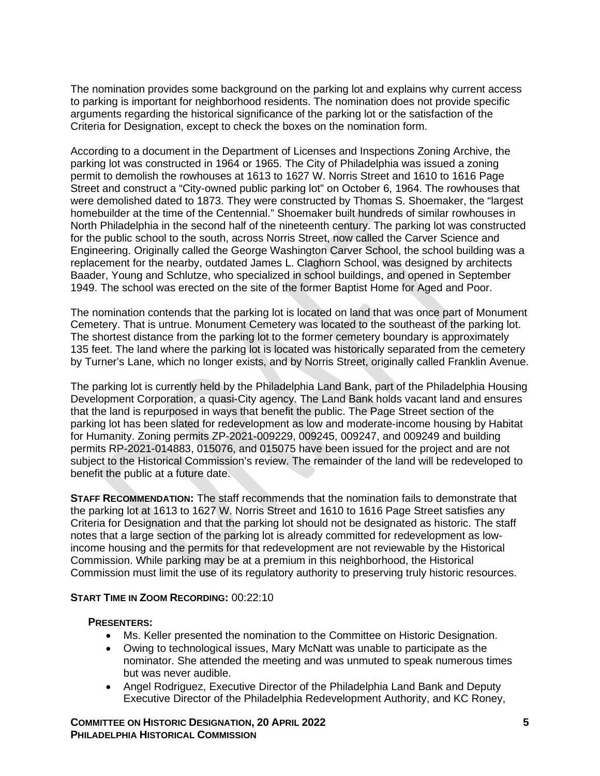The nomination provides some background on the parking lot and explains why current access to parking is important for neighborhood residents. The nomination does not provide specific arguments regarding the historical significance of the parking lot or the satisfaction of the Criteria for Designation, except to check the boxes on the nomination form.

According to a document in the Department of Licenses and Inspections Zoning Archive, the parking lot was constructed in 1964 or 1965. The City of Philadelphia was issued a zoning permit to demolish the rowhouses at 1613 to 1627 W. Norris Street and 1610 to 1616 Page Street and construct a "City-owned public parking lot" on October 6, 1964. The rowhouses that were demolished dated to 1873. They were constructed by Thomas S. Shoemaker, the "largest homebuilder at the time of the Centennial." Shoemaker built hundreds of similar rowhouses in North Philadelphia in the second half of the nineteenth century. The parking lot was constructed for the public school to the south, across Norris Street, now called the Carver Science and Engineering. Originally called the George Washington Carver School, the school building was a replacement for the nearby, outdated James L. Claghorn School, was designed by architects Baader, Young and Schlutze, who specialized in school buildings, and opened in September 1949. The school was erected on the site of the former Baptist Home for Aged and Poor.

The nomination contends that the parking lot is located on land that was once part of Monument Cemetery. That is untrue. Monument Cemetery was located to the southeast of the parking lot. The shortest distance from the parking lot to the former cemetery boundary is approximately 135 feet. The land where the parking lot is located was historically separated from the cemetery by Turner's Lane, which no longer exists, and by Norris Street, originally called Franklin Avenue.

The parking lot is currently held by the Philadelphia Land Bank, part of the Philadelphia Housing Development Corporation, a quasi-City agency. The Land Bank holds vacant land and ensures that the land is repurposed in ways that benefit the public. The Page Street section of the parking lot has been slated for redevelopment as low and moderate-income housing by Habitat for Humanity. Zoning permits ZP-2021-009229, 009245, 009247, and 009249 and building permits RP-2021-014883, 015076, and 015075 have been issued for the project and are not subject to the Historical Commission's review. The remainder of the land will be redeveloped to benefit the public at a future date.

**STAFF RECOMMENDATION:** The staff recommends that the nomination fails to demonstrate that the parking lot at 1613 to 1627 W. Norris Street and 1610 to 1616 Page Street satisfies any Criteria for Designation and that the parking lot should not be designated as historic. The staff notes that a large section of the parking lot is already committed for redevelopment as lowincome housing and the permits for that redevelopment are not reviewable by the Historical Commission. While parking may be at a premium in this neighborhood, the Historical Commission must limit the use of its regulatory authority to preserving truly historic resources.

#### **START TIME IN ZOOM RECORDING:** 00:22:10

#### **PRESENTERS:**

- Ms. Keller presented the nomination to the Committee on Historic Designation.
- Owing to technological issues, Mary McNatt was unable to participate as the nominator. She attended the meeting and was unmuted to speak numerous times but was never audible.
- Angel Rodriguez, Executive Director of the Philadelphia Land Bank and Deputy Executive Director of the Philadelphia Redevelopment Authority, and KC Roney,

**COMMITTEE ON HISTORIC DESIGNATION, 20 APRIL 2022 5 PHILADELPHIA HISTORICAL COMMISSION**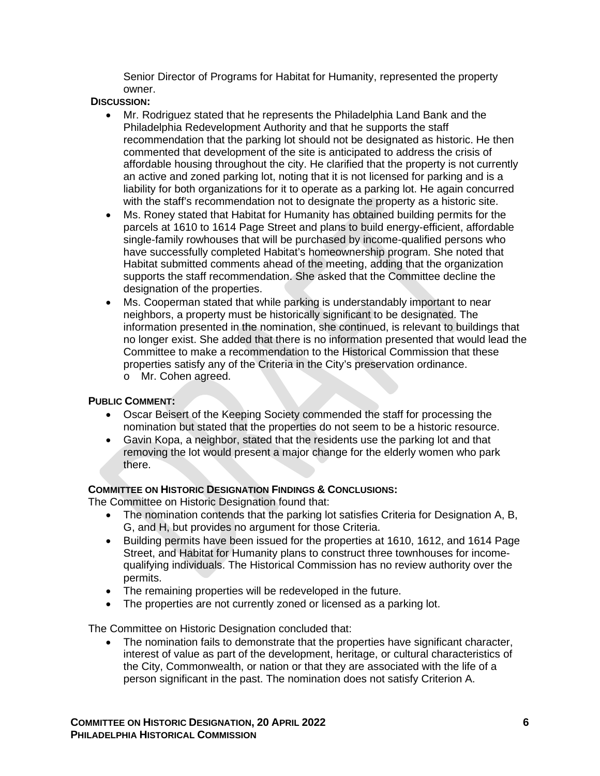Senior Director of Programs for Habitat for Humanity, represented the property owner.

**DISCUSSION:**

- Mr. Rodriguez stated that he represents the Philadelphia Land Bank and the Philadelphia Redevelopment Authority and that he supports the staff recommendation that the parking lot should not be designated as historic. He then commented that development of the site is anticipated to address the crisis of affordable housing throughout the city. He clarified that the property is not currently an active and zoned parking lot, noting that it is not licensed for parking and is a liability for both organizations for it to operate as a parking lot. He again concurred with the staff's recommendation not to designate the property as a historic site.
- Ms. Roney stated that Habitat for Humanity has obtained building permits for the parcels at 1610 to 1614 Page Street and plans to build energy-efficient, affordable single-family rowhouses that will be purchased by income-qualified persons who have successfully completed Habitat's homeownership program. She noted that Habitat submitted comments ahead of the meeting, adding that the organization supports the staff recommendation. She asked that the Committee decline the designation of the properties.
- Ms. Cooperman stated that while parking is understandably important to near neighbors, a property must be historically significant to be designated. The information presented in the nomination, she continued, is relevant to buildings that no longer exist. She added that there is no information presented that would lead the Committee to make a recommendation to the Historical Commission that these properties satisfy any of the Criteria in the City's preservation ordinance.
	- o Mr. Cohen agreed.

## **PUBLIC COMMENT:**

- Oscar Beisert of the Keeping Society commended the staff for processing the nomination but stated that the properties do not seem to be a historic resource.
- Gavin Kopa, a neighbor, stated that the residents use the parking lot and that removing the lot would present a major change for the elderly women who park there.

## **COMMITTEE ON HISTORIC DESIGNATION FINDINGS & CONCLUSIONS:**

The Committee on Historic Designation found that:

- The nomination contends that the parking lot satisfies Criteria for Designation A, B, G, and H, but provides no argument for those Criteria.
- Building permits have been issued for the properties at 1610, 1612, and 1614 Page Street, and Habitat for Humanity plans to construct three townhouses for incomequalifying individuals. The Historical Commission has no review authority over the permits.
- The remaining properties will be redeveloped in the future.
- The properties are not currently zoned or licensed as a parking lot.

The Committee on Historic Designation concluded that:

The nomination fails to demonstrate that the properties have significant character, interest of value as part of the development, heritage, or cultural characteristics of the City, Commonwealth, or nation or that they are associated with the life of a person significant in the past. The nomination does not satisfy Criterion A.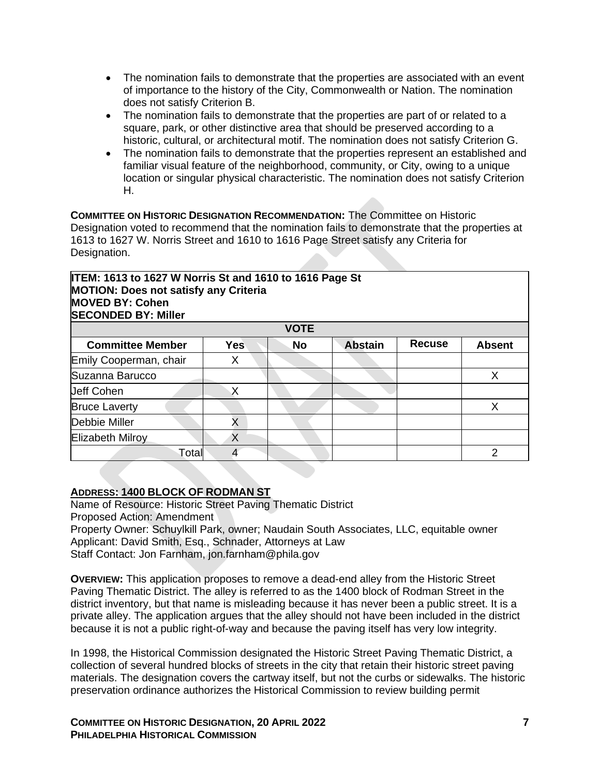- The nomination fails to demonstrate that the properties are associated with an event of importance to the history of the City, Commonwealth or Nation. The nomination does not satisfy Criterion B.
- The nomination fails to demonstrate that the properties are part of or related to a square, park, or other distinctive area that should be preserved according to a historic, cultural, or architectural motif. The nomination does not satisfy Criterion G.
- The nomination fails to demonstrate that the properties represent an established and familiar visual feature of the neighborhood, community, or City, owing to a unique location or singular physical characteristic. The nomination does not satisfy Criterion H.

**COMMITTEE ON HISTORIC DESIGNATION RECOMMENDATION:** The Committee on Historic Designation voted to recommend that the nomination fails to demonstrate that the properties at 1613 to 1627 W. Norris Street and 1610 to 1616 Page Street satisfy any Criteria for Designation.

## **ITEM: 1613 to 1627 W Norris St and 1610 to 1616 Page St MOTION: Does not satisfy any Criteria MOVED BY: Cohen SECONDED BY: Miller**

| <b>DECONDED BT: MILIGE</b> |            |           |                |               |               |  |  |  |
|----------------------------|------------|-----------|----------------|---------------|---------------|--|--|--|
| <b>VOTE</b>                |            |           |                |               |               |  |  |  |
| <b>Committee Member</b>    | <b>Yes</b> | <b>No</b> | <b>Abstain</b> | <b>Recuse</b> | <b>Absent</b> |  |  |  |
| Emily Cooperman, chair     | Х          |           |                |               |               |  |  |  |
| Suzanna Barucco            |            |           |                |               |               |  |  |  |
| <b>Jeff Cohen</b>          |            |           |                |               |               |  |  |  |
| <b>Bruce Laverty</b>       |            |           |                |               |               |  |  |  |
| Debbie Miller              | X          |           |                |               |               |  |  |  |
| <b>Elizabeth Milroy</b>    | Χ          |           |                |               |               |  |  |  |
| Total                      | 4          |           |                |               |               |  |  |  |

## **ADDRESS: 1400 BLOCK OF RODMAN ST**

Name of Resource: Historic Street Paving Thematic District Proposed Action: Amendment Property Owner: Schuylkill Park, owner; Naudain South Associates, LLC, equitable owner Applicant: David Smith, Esq., Schnader, Attorneys at Law Staff Contact: Jon Farnham, jon.farnham@phila.gov

**OVERVIEW:** This application proposes to remove a dead-end alley from the Historic Street Paving Thematic District. The alley is referred to as the 1400 block of Rodman Street in the district inventory, but that name is misleading because it has never been a public street. It is a private alley. The application argues that the alley should not have been included in the district because it is not a public right-of-way and because the paving itself has very low integrity.

In 1998, the Historical Commission designated the Historic Street Paving Thematic District, a collection of several hundred blocks of streets in the city that retain their historic street paving materials. The designation covers the cartway itself, but not the curbs or sidewalks. The historic preservation ordinance authorizes the Historical Commission to review building permit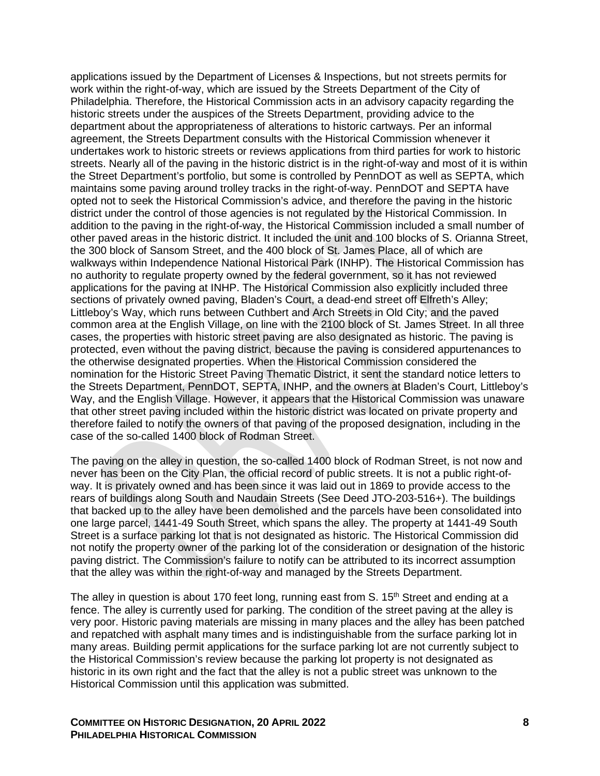applications issued by the Department of Licenses & Inspections, but not streets permits for work within the right-of-way, which are issued by the Streets Department of the City of Philadelphia. Therefore, the Historical Commission acts in an advisory capacity regarding the historic streets under the auspices of the Streets Department, providing advice to the department about the appropriateness of alterations to historic cartways. Per an informal agreement, the Streets Department consults with the Historical Commission whenever it undertakes work to historic streets or reviews applications from third parties for work to historic streets. Nearly all of the paving in the historic district is in the right-of-way and most of it is within the Street Department's portfolio, but some is controlled by PennDOT as well as SEPTA, which maintains some paving around trolley tracks in the right-of-way. PennDOT and SEPTA have opted not to seek the Historical Commission's advice, and therefore the paving in the historic district under the control of those agencies is not regulated by the Historical Commission. In addition to the paving in the right-of-way, the Historical Commission included a small number of other paved areas in the historic district. It included the unit and 100 blocks of S. Orianna Street, the 300 block of Sansom Street, and the 400 block of St. James Place, all of which are walkways within Independence National Historical Park (INHP). The Historical Commission has no authority to regulate property owned by the federal government, so it has not reviewed applications for the paving at INHP. The Historical Commission also explicitly included three sections of privately owned paving, Bladen's Court, a dead-end street off Elfreth's Alley; Littleboy's Way, which runs between Cuthbert and Arch Streets in Old City; and the paved common area at the English Village, on line with the 2100 block of St. James Street. In all three cases, the properties with historic street paving are also designated as historic. The paving is protected, even without the paving district, because the paving is considered appurtenances to the otherwise designated properties. When the Historical Commission considered the nomination for the Historic Street Paving Thematic District, it sent the standard notice letters to the Streets Department, PennDOT, SEPTA, INHP, and the owners at Bladen's Court, Littleboy's Way, and the English Village. However, it appears that the Historical Commission was unaware that other street paving included within the historic district was located on private property and therefore failed to notify the owners of that paving of the proposed designation, including in the case of the so-called 1400 block of Rodman Street.

The paving on the alley in question, the so-called 1400 block of Rodman Street, is not now and never has been on the City Plan, the official record of public streets. It is not a public right-ofway. It is privately owned and has been since it was laid out in 1869 to provide access to the rears of buildings along South and Naudain Streets (See Deed JTO-203-516+). The buildings that backed up to the alley have been demolished and the parcels have been consolidated into one large parcel, 1441-49 South Street, which spans the alley. The property at 1441-49 South Street is a surface parking lot that is not designated as historic. The Historical Commission did not notify the property owner of the parking lot of the consideration or designation of the historic paving district. The Commission's failure to notify can be attributed to its incorrect assumption that the alley was within the right-of-way and managed by the Streets Department.

The alley in question is about 170 feet long, running east from S. 15<sup>th</sup> Street and ending at a fence. The alley is currently used for parking. The condition of the street paving at the alley is very poor. Historic paving materials are missing in many places and the alley has been patched and repatched with asphalt many times and is indistinguishable from the surface parking lot in many areas. Building permit applications for the surface parking lot are not currently subject to the Historical Commission's review because the parking lot property is not designated as historic in its own right and the fact that the alley is not a public street was unknown to the Historical Commission until this application was submitted.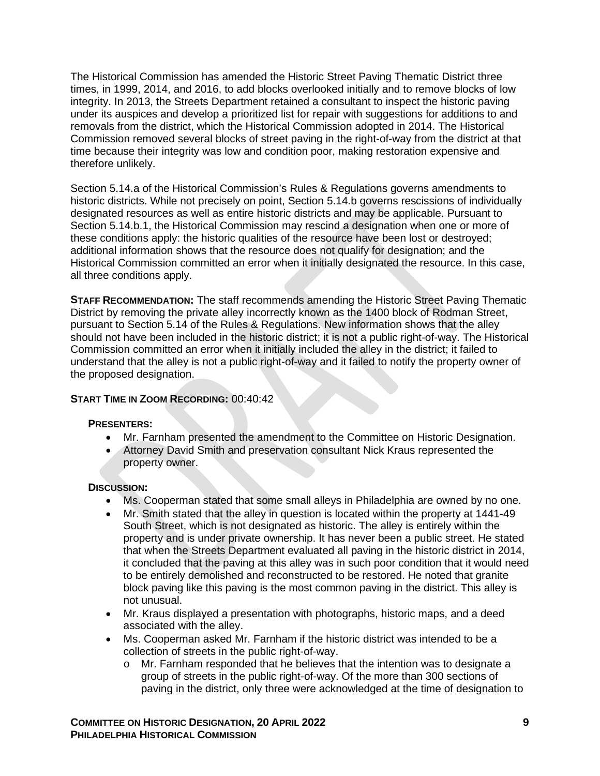The Historical Commission has amended the Historic Street Paving Thematic District three times, in 1999, 2014, and 2016, to add blocks overlooked initially and to remove blocks of low integrity. In 2013, the Streets Department retained a consultant to inspect the historic paving under its auspices and develop a prioritized list for repair with suggestions for additions to and removals from the district, which the Historical Commission adopted in 2014. The Historical Commission removed several blocks of street paving in the right-of-way from the district at that time because their integrity was low and condition poor, making restoration expensive and therefore unlikely.

Section 5.14.a of the Historical Commission's Rules & Regulations governs amendments to historic districts. While not precisely on point, Section 5.14.b governs rescissions of individually designated resources as well as entire historic districts and may be applicable. Pursuant to Section 5.14.b.1, the Historical Commission may rescind a designation when one or more of these conditions apply: the historic qualities of the resource have been lost or destroyed; additional information shows that the resource does not qualify for designation; and the Historical Commission committed an error when it initially designated the resource. In this case, all three conditions apply.

**STAFF RECOMMENDATION:** The staff recommends amending the Historic Street Paving Thematic District by removing the private alley incorrectly known as the 1400 block of Rodman Street, pursuant to Section 5.14 of the Rules & Regulations. New information shows that the alley should not have been included in the historic district; it is not a public right-of-way. The Historical Commission committed an error when it initially included the alley in the district; it failed to understand that the alley is not a public right-of-way and it failed to notify the property owner of the proposed designation.

## **START TIME IN ZOOM RECORDING:** 00:40:42

## **PRESENTERS:**

- Mr. Farnham presented the amendment to the Committee on Historic Designation.
- Attorney David Smith and preservation consultant Nick Kraus represented the property owner.

#### **DISCUSSION:**

- Ms. Cooperman stated that some small alleys in Philadelphia are owned by no one.
- Mr. Smith stated that the alley in question is located within the property at 1441-49 South Street, which is not designated as historic. The alley is entirely within the property and is under private ownership. It has never been a public street. He stated that when the Streets Department evaluated all paving in the historic district in 2014, it concluded that the paving at this alley was in such poor condition that it would need to be entirely demolished and reconstructed to be restored. He noted that granite block paving like this paving is the most common paving in the district. This alley is not unusual.
- Mr. Kraus displayed a presentation with photographs, historic maps, and a deed associated with the alley.
- Ms. Cooperman asked Mr. Farnham if the historic district was intended to be a collection of streets in the public right-of-way.
	- o Mr. Farnham responded that he believes that the intention was to designate a group of streets in the public right-of-way. Of the more than 300 sections of paving in the district, only three were acknowledged at the time of designation to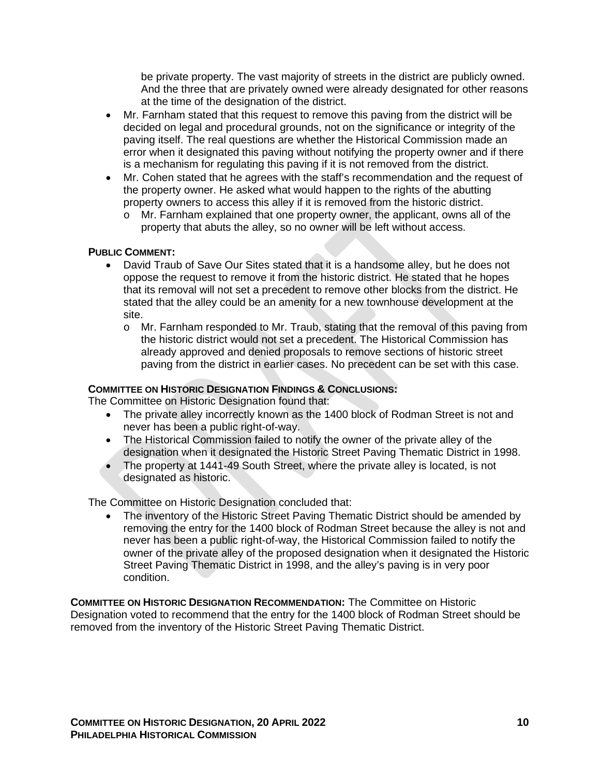be private property. The vast majority of streets in the district are publicly owned. And the three that are privately owned were already designated for other reasons at the time of the designation of the district.

- Mr. Farnham stated that this request to remove this paving from the district will be decided on legal and procedural grounds, not on the significance or integrity of the paving itself. The real questions are whether the Historical Commission made an error when it designated this paving without notifying the property owner and if there is a mechanism for regulating this paving if it is not removed from the district.
- Mr. Cohen stated that he agrees with the staff's recommendation and the request of the property owner. He asked what would happen to the rights of the abutting property owners to access this alley if it is removed from the historic district.
	- o Mr. Farnham explained that one property owner, the applicant, owns all of the property that abuts the alley, so no owner will be left without access.

## **PUBLIC COMMENT:**

- David Traub of Save Our Sites stated that it is a handsome alley, but he does not oppose the request to remove it from the historic district. He stated that he hopes that its removal will not set a precedent to remove other blocks from the district. He stated that the alley could be an amenity for a new townhouse development at the site.
	- o Mr. Farnham responded to Mr. Traub, stating that the removal of this paving from the historic district would not set a precedent. The Historical Commission has already approved and denied proposals to remove sections of historic street paving from the district in earlier cases. No precedent can be set with this case.

#### **COMMITTEE ON HISTORIC DESIGNATION FINDINGS & CONCLUSIONS:**

The Committee on Historic Designation found that:

- The private alley incorrectly known as the 1400 block of Rodman Street is not and never has been a public right-of-way.
- The Historical Commission failed to notify the owner of the private alley of the designation when it designated the Historic Street Paving Thematic District in 1998.
- The property at 1441-49 South Street, where the private alley is located, is not designated as historic.

The Committee on Historic Designation concluded that:

• The inventory of the Historic Street Paving Thematic District should be amended by removing the entry for the 1400 block of Rodman Street because the alley is not and never has been a public right-of-way, the Historical Commission failed to notify the owner of the private alley of the proposed designation when it designated the Historic Street Paving Thematic District in 1998, and the alley's paving is in very poor condition.

**COMMITTEE ON HISTORIC DESIGNATION RECOMMENDATION:** The Committee on Historic Designation voted to recommend that the entry for the 1400 block of Rodman Street should be removed from the inventory of the Historic Street Paving Thematic District.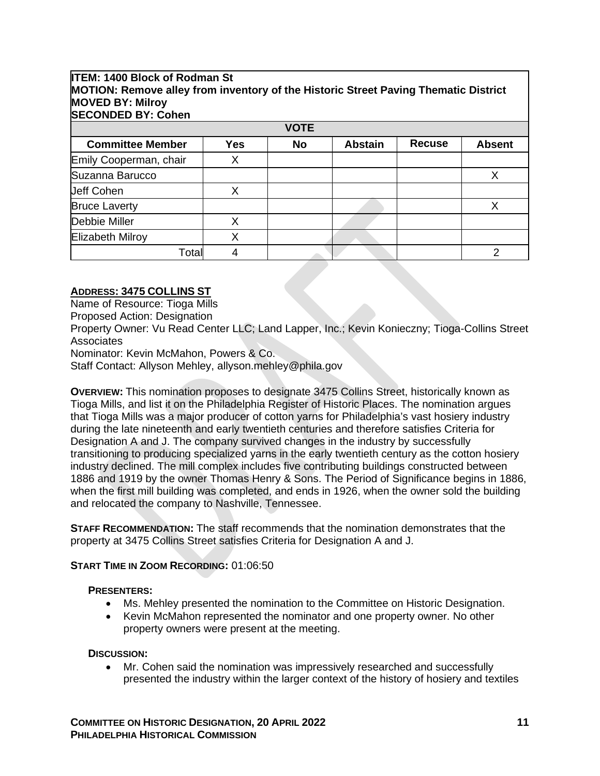#### **ITEM: 1400 Block of Rodman St MOTION: Remove alley from inventory of the Historic Street Paving Thematic District MOVED BY: Milroy SECONDED BY: Cohen**

| <b>VOTE</b>             |            |    |                |               |               |  |  |
|-------------------------|------------|----|----------------|---------------|---------------|--|--|
| <b>Committee Member</b> | <b>Yes</b> | No | <b>Abstain</b> | <b>Recuse</b> | <b>Absent</b> |  |  |
| Emily Cooperman, chair  |            |    |                |               |               |  |  |
| Suzanna Barucco         |            |    |                |               |               |  |  |
| <b>Jeff Cohen</b>       |            |    |                |               |               |  |  |
| <b>Bruce Laverty</b>    |            |    |                |               |               |  |  |
| Debbie Miller           | χ          |    |                |               |               |  |  |
| <b>Elizabeth Milroy</b> |            |    |                |               |               |  |  |
| Total                   |            |    |                |               |               |  |  |

## **ADDRESS: 3475 COLLINS ST**

Name of Resource: Tioga Mills

Proposed Action: Designation

Property Owner: Vu Read Center LLC; Land Lapper, Inc.; Kevin Konieczny; Tioga-Collins Street **Associates** 

Nominator: Kevin McMahon, Powers & Co.

Staff Contact: Allyson Mehley, allyson.mehley@phila.gov

**OVERVIEW:** This nomination proposes to designate 3475 Collins Street, historically known as Tioga Mills, and list it on the Philadelphia Register of Historic Places. The nomination argues that Tioga Mills was a major producer of cotton yarns for Philadelphia's vast hosiery industry during the late nineteenth and early twentieth centuries and therefore satisfies Criteria for Designation A and J. The company survived changes in the industry by successfully transitioning to producing specialized yarns in the early twentieth century as the cotton hosiery industry declined. The mill complex includes five contributing buildings constructed between 1886 and 1919 by the owner Thomas Henry & Sons. The Period of Significance begins in 1886, when the first mill building was completed, and ends in 1926, when the owner sold the building and relocated the company to Nashville, Tennessee.

**STAFF RECOMMENDATION:** The staff recommends that the nomination demonstrates that the property at 3475 Collins Street satisfies Criteria for Designation A and J.

## **START TIME IN ZOOM RECORDING:** 01:06:50

#### **PRESENTERS:**

- Ms. Mehley presented the nomination to the Committee on Historic Designation.
- Kevin McMahon represented the nominator and one property owner. No other property owners were present at the meeting.

#### **DISCUSSION:**

• Mr. Cohen said the nomination was impressively researched and successfully presented the industry within the larger context of the history of hosiery and textiles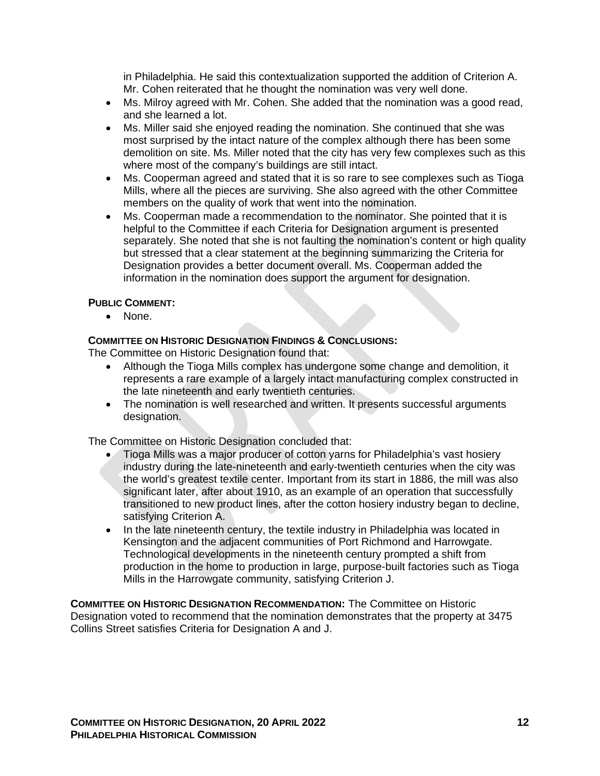in Philadelphia. He said this contextualization supported the addition of Criterion A. Mr. Cohen reiterated that he thought the nomination was very well done.

- Ms. Milroy agreed with Mr. Cohen. She added that the nomination was a good read, and she learned a lot.
- Ms. Miller said she enjoyed reading the nomination. She continued that she was most surprised by the intact nature of the complex although there has been some demolition on site. Ms. Miller noted that the city has very few complexes such as this where most of the company's buildings are still intact.
- Ms. Cooperman agreed and stated that it is so rare to see complexes such as Tioga Mills, where all the pieces are surviving. She also agreed with the other Committee members on the quality of work that went into the nomination.
- Ms. Cooperman made a recommendation to the nominator. She pointed that it is helpful to the Committee if each Criteria for Designation argument is presented separately. She noted that she is not faulting the nomination's content or high quality but stressed that a clear statement at the beginning summarizing the Criteria for Designation provides a better document overall. Ms. Cooperman added the information in the nomination does support the argument for designation.

#### **PUBLIC COMMENT:**

• None.

#### **COMMITTEE ON HISTORIC DESIGNATION FINDINGS & CONCLUSIONS:**

The Committee on Historic Designation found that:

- Although the Tioga Mills complex has undergone some change and demolition, it represents a rare example of a largely intact manufacturing complex constructed in the late nineteenth and early twentieth centuries.
- The nomination is well researched and written. It presents successful arguments designation.

The Committee on Historic Designation concluded that:

- Tioga Mills was a major producer of cotton yarns for Philadelphia's vast hosiery industry during the late-nineteenth and early-twentieth centuries when the city was the world's greatest textile center. Important from its start in 1886, the mill was also significant later, after about 1910, as an example of an operation that successfully transitioned to new product lines, after the cotton hosiery industry began to decline, satisfying Criterion A.
- In the late nineteenth century, the textile industry in Philadelphia was located in Kensington and the adjacent communities of Port Richmond and Harrowgate. Technological developments in the nineteenth century prompted a shift from production in the home to production in large, purpose-built factories such as Tioga Mills in the Harrowgate community, satisfying Criterion J.

**COMMITTEE ON HISTORIC DESIGNATION RECOMMENDATION:** The Committee on Historic Designation voted to recommend that the nomination demonstrates that the property at 3475 Collins Street satisfies Criteria for Designation A and J.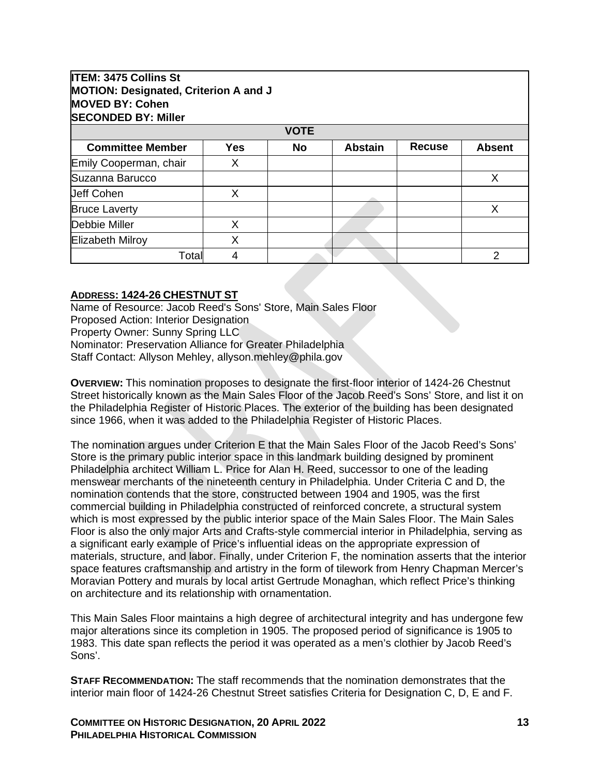## **ITEM: 3475 Collins St MOTION: Designated, Criterion A and J MOVED BY: Cohen SECONDED BY: Miller**

| וסוווויו ו ט ששעוטשט<br><b>VOTE</b> |            |           |                |               |               |  |  |
|-------------------------------------|------------|-----------|----------------|---------------|---------------|--|--|
| <b>Committee Member</b>             | <b>Yes</b> | <b>No</b> | <b>Abstain</b> | <b>Recuse</b> | <b>Absent</b> |  |  |
| Emily Cooperman, chair              |            |           |                |               |               |  |  |
| Suzanna Barucco                     |            |           |                |               |               |  |  |
| <b>Jeff Cohen</b>                   | х          |           |                |               |               |  |  |
| <b>Bruce Laverty</b>                |            |           |                |               |               |  |  |
| Debbie Miller                       |            |           |                |               |               |  |  |
| <b>Elizabeth Milroy</b>             |            |           |                |               |               |  |  |
| Total                               |            |           |                |               |               |  |  |

## **ADDRESS: 1424-26 CHESTNUT ST**

Name of Resource: Jacob Reed's Sons' Store, Main Sales Floor Proposed Action: Interior Designation Property Owner: Sunny Spring LLC Nominator: Preservation Alliance for Greater Philadelphia Staff Contact: Allyson Mehley, allyson.mehley@phila.gov

**OVERVIEW:** This nomination proposes to designate the first-floor interior of 1424-26 Chestnut Street historically known as the Main Sales Floor of the Jacob Reed's Sons' Store, and list it on the Philadelphia Register of Historic Places. The exterior of the building has been designated since 1966, when it was added to the Philadelphia Register of Historic Places.

The nomination argues under Criterion E that the Main Sales Floor of the Jacob Reed's Sons' Store is the primary public interior space in this landmark building designed by prominent Philadelphia architect William L. Price for Alan H. Reed, successor to one of the leading menswear merchants of the nineteenth century in Philadelphia. Under Criteria C and D, the nomination contends that the store, constructed between 1904 and 1905, was the first commercial building in Philadelphia constructed of reinforced concrete, a structural system which is most expressed by the public interior space of the Main Sales Floor. The Main Sales Floor is also the only major Arts and Crafts-style commercial interior in Philadelphia, serving as a significant early example of Price's influential ideas on the appropriate expression of materials, structure, and labor. Finally, under Criterion F, the nomination asserts that the interior space features craftsmanship and artistry in the form of tilework from Henry Chapman Mercer's Moravian Pottery and murals by local artist Gertrude Monaghan, which reflect Price's thinking on architecture and its relationship with ornamentation.

This Main Sales Floor maintains a high degree of architectural integrity and has undergone few major alterations since its completion in 1905. The proposed period of significance is 1905 to 1983. This date span reflects the period it was operated as a men's clothier by Jacob Reed's Sons'.

**STAFF RECOMMENDATION:** The staff recommends that the nomination demonstrates that the interior main floor of 1424-26 Chestnut Street satisfies Criteria for Designation C, D, E and F.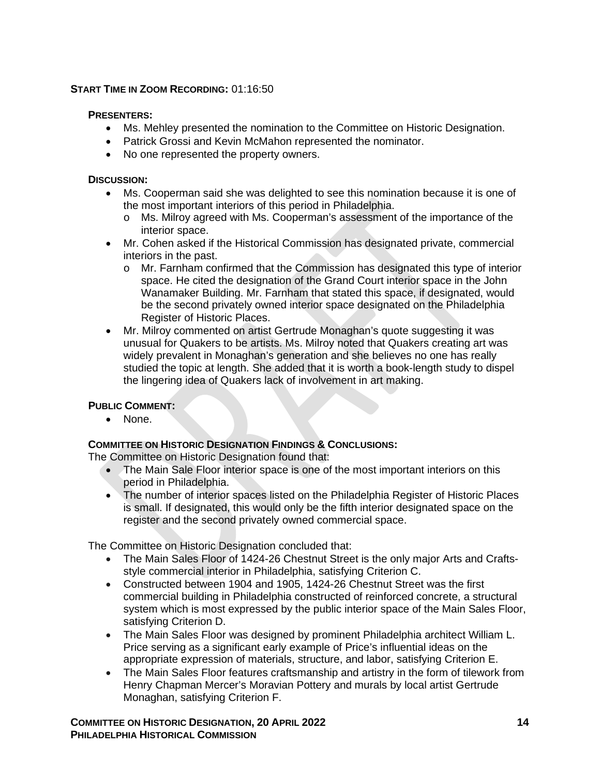#### **START TIME IN ZOOM RECORDING:** 01:16:50

#### **PRESENTERS:**

- Ms. Mehley presented the nomination to the Committee on Historic Designation.
- Patrick Grossi and Kevin McMahon represented the nominator.
- No one represented the property owners.

#### **DISCUSSION:**

- Ms. Cooperman said she was delighted to see this nomination because it is one of the most important interiors of this period in Philadelphia.
	- o Ms. Milroy agreed with Ms. Cooperman's assessment of the importance of the interior space.
- Mr. Cohen asked if the Historical Commission has designated private, commercial interiors in the past.
	- o Mr. Farnham confirmed that the Commission has designated this type of interior space. He cited the designation of the Grand Court interior space in the John Wanamaker Building. Mr. Farnham that stated this space, if designated, would be the second privately owned interior space designated on the Philadelphia Register of Historic Places.
- Mr. Milroy commented on artist Gertrude Monaghan's quote suggesting it was unusual for Quakers to be artists. Ms. Milroy noted that Quakers creating art was widely prevalent in Monaghan's generation and she believes no one has really studied the topic at length. She added that it is worth a book-length study to dispel the lingering idea of Quakers lack of involvement in art making.

## **PUBLIC COMMENT:**

• None.

#### **COMMITTEE ON HISTORIC DESIGNATION FINDINGS & CONCLUSIONS:**

The Committee on Historic Designation found that:

- The Main Sale Floor interior space is one of the most important interiors on this period in Philadelphia.
- The number of interior spaces listed on the Philadelphia Register of Historic Places is small. If designated, this would only be the fifth interior designated space on the register and the second privately owned commercial space.

The Committee on Historic Designation concluded that:

- The Main Sales Floor of 1424-26 Chestnut Street is the only major Arts and Craftsstyle commercial interior in Philadelphia, satisfying Criterion C.
- Constructed between 1904 and 1905, 1424-26 Chestnut Street was the first commercial building in Philadelphia constructed of reinforced concrete, a structural system which is most expressed by the public interior space of the Main Sales Floor, satisfying Criterion D.
- The Main Sales Floor was designed by prominent Philadelphia architect William L. Price serving as a significant early example of Price's influential ideas on the appropriate expression of materials, structure, and labor, satisfying Criterion E.
- The Main Sales Floor features craftsmanship and artistry in the form of tilework from Henry Chapman Mercer's Moravian Pottery and murals by local artist Gertrude Monaghan, satisfying Criterion F.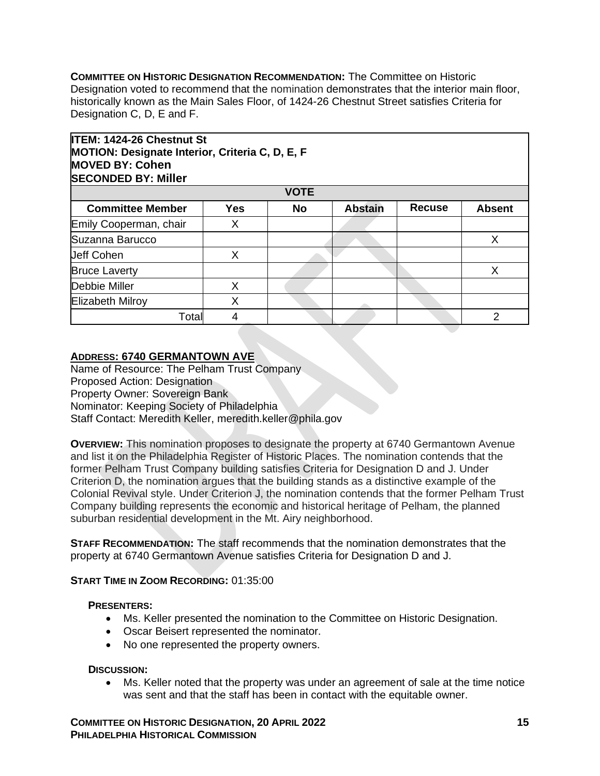**COMMITTEE ON HISTORIC DESIGNATION RECOMMENDATION:** The Committee on Historic Designation voted to recommend that the nomination demonstrates that the interior main floor, historically known as the Main Sales Floor, of 1424-26 Chestnut Street satisfies Criteria for Designation C, D, E and F.

| <b>ITEM: 1424-26 Chestnut St</b>                       |            |             |                |               |               |  |  |
|--------------------------------------------------------|------------|-------------|----------------|---------------|---------------|--|--|
| <b>MOTION: Designate Interior, Criteria C, D, E, F</b> |            |             |                |               |               |  |  |
| <b>MOVED BY: Cohen</b>                                 |            |             |                |               |               |  |  |
| <b>SECONDED BY: Miller</b>                             |            |             |                |               |               |  |  |
|                                                        |            | <b>VOTE</b> |                |               |               |  |  |
| <b>Committee Member</b>                                | <b>Yes</b> | <b>No</b>   | <b>Abstain</b> | <b>Recuse</b> | <b>Absent</b> |  |  |
| Emily Cooperman, chair                                 | X          |             |                |               |               |  |  |
| Suzanna Barucco                                        |            |             |                |               |               |  |  |
| <b>Jeff Cohen</b>                                      | X          |             |                |               |               |  |  |
| <b>Bruce Laverty</b>                                   |            |             |                |               | X             |  |  |
| Debbie Miller                                          | X          |             |                |               |               |  |  |
| <b>Elizabeth Milroy</b>                                | X          |             |                |               |               |  |  |
| Total                                                  | 4          |             |                |               | $\mathcal{P}$ |  |  |

## **ADDRESS: 6740 GERMANTOWN AVE**

Name of Resource: The Pelham Trust Company Proposed Action: Designation Property Owner: Sovereign Bank Nominator: Keeping Society of Philadelphia Staff Contact: Meredith Keller, meredith.keller@phila.gov

**OVERVIEW:** This nomination proposes to designate the property at 6740 Germantown Avenue and list it on the Philadelphia Register of Historic Places. The nomination contends that the former Pelham Trust Company building satisfies Criteria for Designation D and J. Under Criterion D, the nomination argues that the building stands as a distinctive example of the Colonial Revival style. Under Criterion J, the nomination contends that the former Pelham Trust Company building represents the economic and historical heritage of Pelham, the planned suburban residential development in the Mt. Airy neighborhood.

**STAFF RECOMMENDATION:** The staff recommends that the nomination demonstrates that the property at 6740 Germantown Avenue satisfies Criteria for Designation D and J.

#### **START TIME IN ZOOM RECORDING:** 01:35:00

#### **PRESENTERS:**

- Ms. Keller presented the nomination to the Committee on Historic Designation.
- Oscar Beisert represented the nominator.
- No one represented the property owners.

#### **DISCUSSION:**

• Ms. Keller noted that the property was under an agreement of sale at the time notice was sent and that the staff has been in contact with the equitable owner.

**COMMITTEE ON HISTORIC DESIGNATION, 20 APRIL 2022 15 PHILADELPHIA HISTORICAL COMMISSION**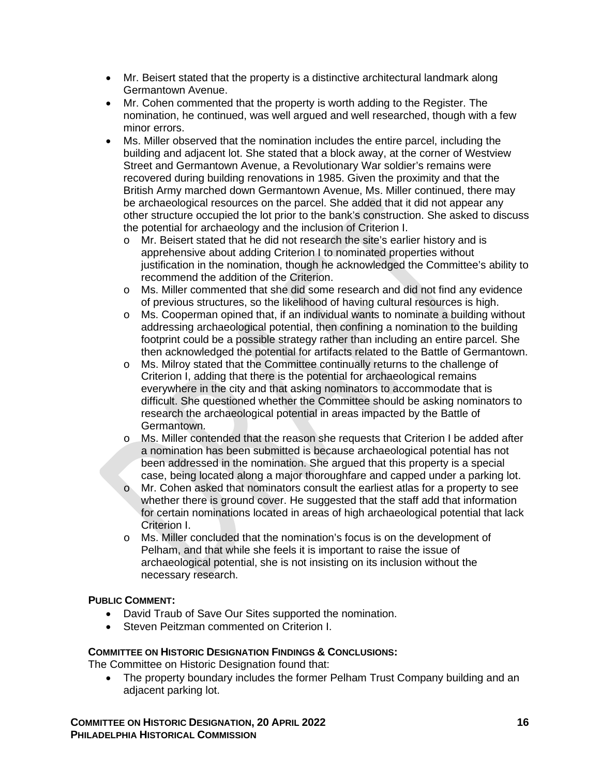- Mr. Beisert stated that the property is a distinctive architectural landmark along Germantown Avenue.
- Mr. Cohen commented that the property is worth adding to the Register. The nomination, he continued, was well argued and well researched, though with a few minor errors.
- Ms. Miller observed that the nomination includes the entire parcel, including the building and adjacent lot. She stated that a block away, at the corner of Westview Street and Germantown Avenue, a Revolutionary War soldier's remains were recovered during building renovations in 1985. Given the proximity and that the British Army marched down Germantown Avenue, Ms. Miller continued, there may be archaeological resources on the parcel. She added that it did not appear any other structure occupied the lot prior to the bank's construction. She asked to discuss the potential for archaeology and the inclusion of Criterion I.
	- o Mr. Beisert stated that he did not research the site's earlier history and is apprehensive about adding Criterion I to nominated properties without justification in the nomination, though he acknowledged the Committee's ability to recommend the addition of the Criterion.
	- o Ms. Miller commented that she did some research and did not find any evidence of previous structures, so the likelihood of having cultural resources is high.
	- $\circ$  Ms. Cooperman opined that, if an individual wants to nominate a building without addressing archaeological potential, then confining a nomination to the building footprint could be a possible strategy rather than including an entire parcel. She then acknowledged the potential for artifacts related to the Battle of Germantown.
	- o Ms. Milroy stated that the Committee continually returns to the challenge of Criterion I, adding that there is the potential for archaeological remains everywhere in the city and that asking nominators to accommodate that is difficult. She questioned whether the Committee should be asking nominators to research the archaeological potential in areas impacted by the Battle of Germantown.
	- o Ms. Miller contended that the reason she requests that Criterion I be added after a nomination has been submitted is because archaeological potential has not been addressed in the nomination. She argued that this property is a special case, being located along a major thoroughfare and capped under a parking lot.
	- o Mr. Cohen asked that nominators consult the earliest atlas for a property to see whether there is ground cover. He suggested that the staff add that information for certain nominations located in areas of high archaeological potential that lack Criterion I.
	- o Ms. Miller concluded that the nomination's focus is on the development of Pelham, and that while she feels it is important to raise the issue of archaeological potential, she is not insisting on its inclusion without the necessary research.

## **PUBLIC COMMENT:**

- David Traub of Save Our Sites supported the nomination.
- Steven Peitzman commented on Criterion I.

## **COMMITTEE ON HISTORIC DESIGNATION FINDINGS & CONCLUSIONS:**

The Committee on Historic Designation found that:

• The property boundary includes the former Pelham Trust Company building and an adjacent parking lot.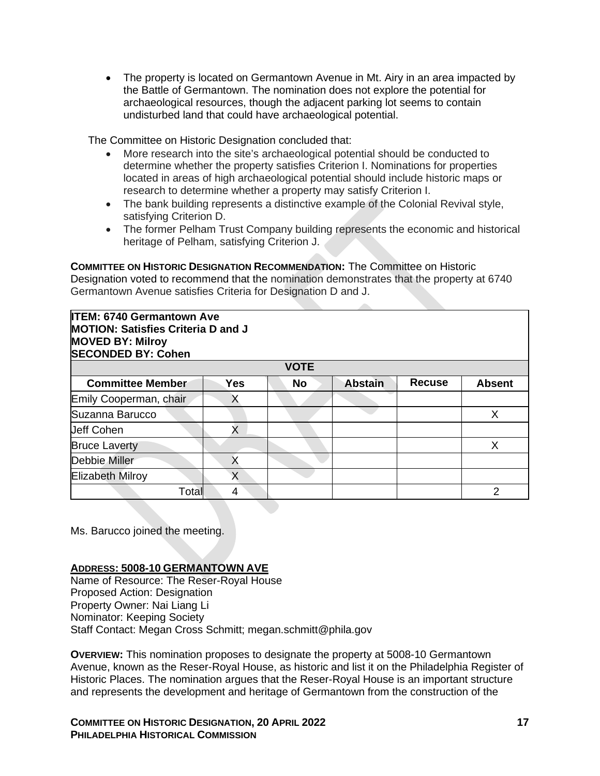• The property is located on Germantown Avenue in Mt. Airy in an area impacted by the Battle of Germantown. The nomination does not explore the potential for archaeological resources, though the adjacent parking lot seems to contain undisturbed land that could have archaeological potential.

The Committee on Historic Designation concluded that:

- More research into the site's archaeological potential should be conducted to determine whether the property satisfies Criterion I. Nominations for properties located in areas of high archaeological potential should include historic maps or research to determine whether a property may satisfy Criterion I.
- The bank building represents a distinctive example of the Colonial Revival style, satisfying Criterion D.
- The former Pelham Trust Company building represents the economic and historical heritage of Pelham, satisfying Criterion J.

**COMMITTEE ON HISTORIC DESIGNATION RECOMMENDATION:** The Committee on Historic Designation voted to recommend that the nomination demonstrates that the property at 6740 Germantown Avenue satisfies Criteria for Designation D and J.

#### **ITEM: 6740 Germantown Ave MOTION: Satisfies Criteria D and J MOVED BY: Milroy SECONDED BY: Cohen**

| <b>VOTE</b>             |            |           |                |               |               |  |  |
|-------------------------|------------|-----------|----------------|---------------|---------------|--|--|
| <b>Committee Member</b> | <b>Yes</b> | <b>No</b> | <b>Abstain</b> | <b>Recuse</b> | <b>Absent</b> |  |  |
| Emily Cooperman, chair  | ↗          |           |                |               |               |  |  |
| Suzanna Barucco         |            |           |                |               |               |  |  |
| <b>Jeff Cohen</b>       | Χ          |           |                |               |               |  |  |
| <b>Bruce Laverty</b>    |            |           |                |               |               |  |  |
| Debbie Miller           |            |           |                |               |               |  |  |
| <b>Elizabeth Milroy</b> |            |           |                |               |               |  |  |
| Total                   | 4          |           |                |               |               |  |  |

Ms. Barucco joined the meeting.

## **ADDRESS: 5008-10 GERMANTOWN AVE**

Name of Resource: The Reser-Royal House Proposed Action: Designation Property Owner: Nai Liang Li Nominator: Keeping Society Staff Contact: Megan Cross Schmitt; megan.schmitt@phila.gov

**OVERVIEW:** This nomination proposes to designate the property at 5008-10 Germantown Avenue, known as the Reser-Royal House, as historic and list it on the Philadelphia Register of Historic Places. The nomination argues that the Reser-Royal House is an important structure and represents the development and heritage of Germantown from the construction of the

**COMMITTEE ON HISTORIC DESIGNATION, 20 APRIL 2022 17 PHILADELPHIA HISTORICAL COMMISSION**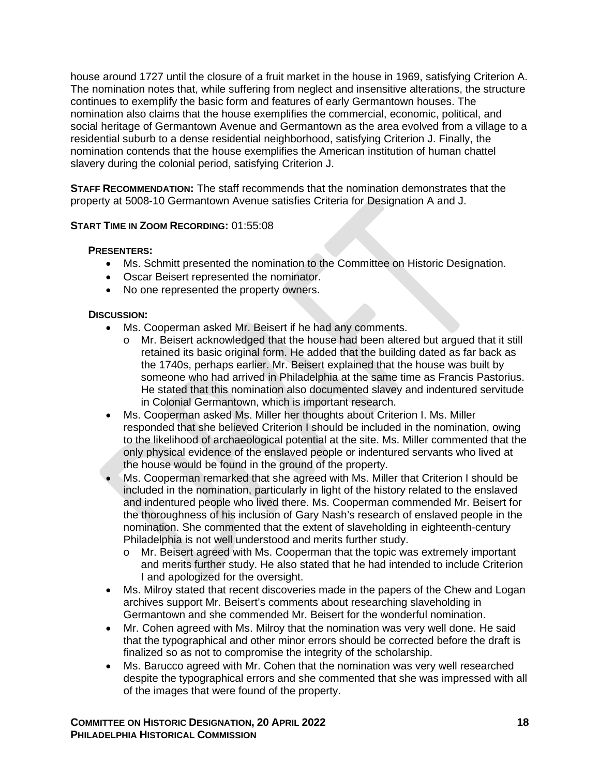house around 1727 until the closure of a fruit market in the house in 1969, satisfying Criterion A. The nomination notes that, while suffering from neglect and insensitive alterations, the structure continues to exemplify the basic form and features of early Germantown houses. The nomination also claims that the house exemplifies the commercial, economic, political, and social heritage of Germantown Avenue and Germantown as the area evolved from a village to a residential suburb to a dense residential neighborhood, satisfying Criterion J. Finally, the nomination contends that the house exemplifies the American institution of human chattel slavery during the colonial period, satisfying Criterion J.

**STAFF RECOMMENDATION:** The staff recommends that the nomination demonstrates that the property at 5008-10 Germantown Avenue satisfies Criteria for Designation A and J.

## **START TIME IN ZOOM RECORDING:** 01:55:08

## **PRESENTERS:**

- Ms. Schmitt presented the nomination to the Committee on Historic Designation.
- Oscar Beisert represented the nominator.
- No one represented the property owners.

## **DISCUSSION:**

- Ms. Cooperman asked Mr. Beisert if he had any comments.
	- o Mr. Beisert acknowledged that the house had been altered but argued that it still retained its basic original form. He added that the building dated as far back as the 1740s, perhaps earlier. Mr. Beisert explained that the house was built by someone who had arrived in Philadelphia at the same time as Francis Pastorius. He stated that this nomination also documented slavey and indentured servitude in Colonial Germantown, which is important research.
- Ms. Cooperman asked Ms. Miller her thoughts about Criterion I. Ms. Miller responded that she believed Criterion I should be included in the nomination, owing to the likelihood of archaeological potential at the site. Ms. Miller commented that the only physical evidence of the enslaved people or indentured servants who lived at the house would be found in the ground of the property.
- Ms. Cooperman remarked that she agreed with Ms. Miller that Criterion I should be included in the nomination, particularly in light of the history related to the enslaved and indentured people who lived there. Ms. Cooperman commended Mr. Beisert for the thoroughness of his inclusion of Gary Nash's research of enslaved people in the nomination. She commented that the extent of slaveholding in eighteenth-century Philadelphia is not well understood and merits further study.
	- o Mr. Beisert agreed with Ms. Cooperman that the topic was extremely important and merits further study. He also stated that he had intended to include Criterion I and apologized for the oversight.
- Ms. Milroy stated that recent discoveries made in the papers of the Chew and Logan archives support Mr. Beisert's comments about researching slaveholding in Germantown and she commended Mr. Beisert for the wonderful nomination.
- Mr. Cohen agreed with Ms. Milroy that the nomination was very well done. He said that the typographical and other minor errors should be corrected before the draft is finalized so as not to compromise the integrity of the scholarship.
- Ms. Barucco agreed with Mr. Cohen that the nomination was very well researched despite the typographical errors and she commented that she was impressed with all of the images that were found of the property.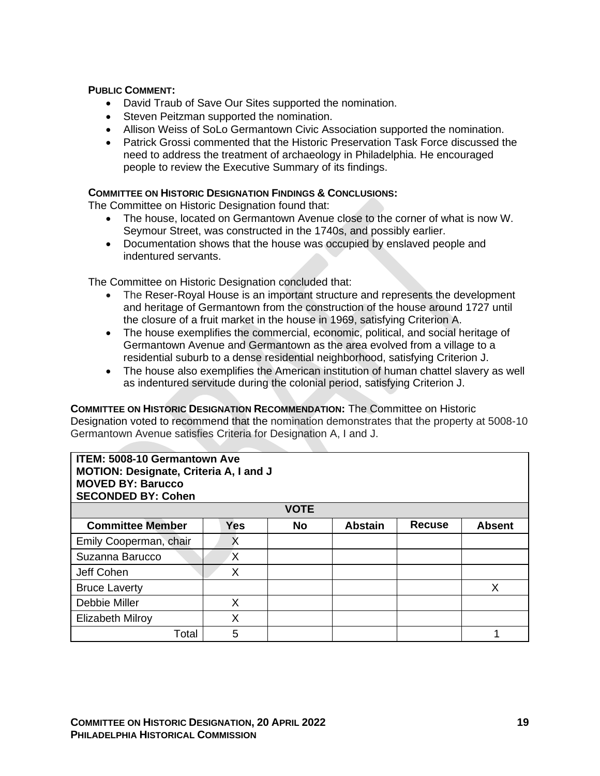#### **PUBLIC COMMENT:**

- David Traub of Save Our Sites supported the nomination.
- Steven Peitzman supported the nomination.
- Allison Weiss of SoLo Germantown Civic Association supported the nomination.
- Patrick Grossi commented that the Historic Preservation Task Force discussed the need to address the treatment of archaeology in Philadelphia. He encouraged people to review the Executive Summary of its findings.

#### **COMMITTEE ON HISTORIC DESIGNATION FINDINGS & CONCLUSIONS:**

The Committee on Historic Designation found that:

- The house, located on Germantown Avenue close to the corner of what is now W. Seymour Street, was constructed in the 1740s, and possibly earlier.
- Documentation shows that the house was occupied by enslaved people and indentured servants.

The Committee on Historic Designation concluded that:

- The Reser-Royal House is an important structure and represents the development and heritage of Germantown from the construction of the house around 1727 until the closure of a fruit market in the house in 1969, satisfying Criterion A.
- The house exemplifies the commercial, economic, political, and social heritage of Germantown Avenue and Germantown as the area evolved from a village to a residential suburb to a dense residential neighborhood, satisfying Criterion J.
- The house also exemplifies the American institution of human chattel slavery as well as indentured servitude during the colonial period, satisfying Criterion J.

**COMMITTEE ON HISTORIC DESIGNATION RECOMMENDATION:** The Committee on Historic Designation voted to recommend that the nomination demonstrates that the property at 5008-10 Germantown Avenue satisfies Criteria for Designation A, I and J.

| <b>ITEM: 5008-10 Germantown Ave</b><br>MOTION: Designate, Criteria A, I and J<br><b>MOVED BY: Barucco</b><br><b>SECONDED BY: Cohen</b> |            |             |                |               |               |  |  |
|----------------------------------------------------------------------------------------------------------------------------------------|------------|-------------|----------------|---------------|---------------|--|--|
|                                                                                                                                        |            | <b>VOTE</b> |                |               |               |  |  |
| <b>Committee Member</b>                                                                                                                | <b>Yes</b> | <b>No</b>   | <b>Abstain</b> | <b>Recuse</b> | <b>Absent</b> |  |  |
| Emily Cooperman, chair                                                                                                                 | X          |             |                |               |               |  |  |
| Suzanna Barucco                                                                                                                        | X          |             |                |               |               |  |  |
| Jeff Cohen                                                                                                                             | X          |             |                |               |               |  |  |
| <b>Bruce Laverty</b>                                                                                                                   |            |             |                |               | X             |  |  |
| Debbie Miller                                                                                                                          | X          |             |                |               |               |  |  |
| <b>Elizabeth Milroy</b>                                                                                                                | Χ          |             |                |               |               |  |  |
| Total                                                                                                                                  | 5          |             |                |               |               |  |  |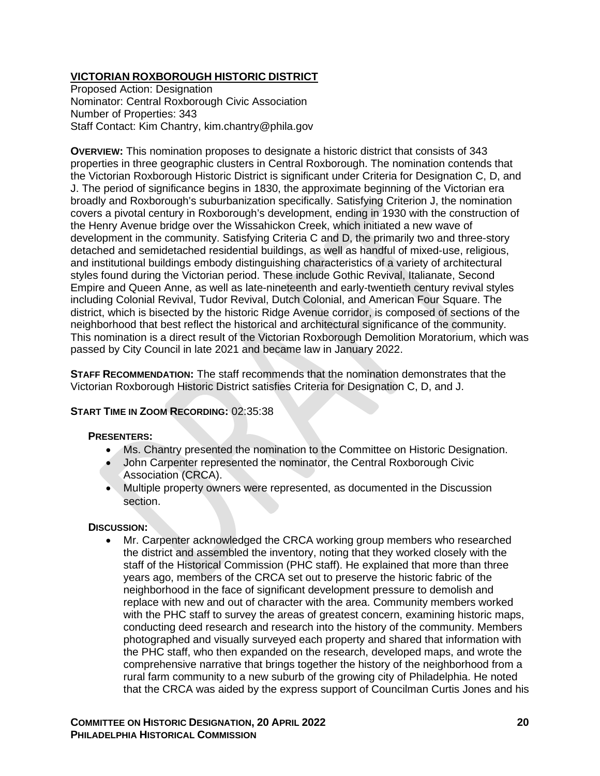## **VICTORIAN ROXBOROUGH HISTORIC DISTRICT**

Proposed Action: Designation Nominator: Central Roxborough Civic Association Number of Properties: 343 Staff Contact: Kim Chantry, kim.chantry@phila.gov

**OVERVIEW:** This nomination proposes to designate a historic district that consists of 343 properties in three geographic clusters in Central Roxborough. The nomination contends that the Victorian Roxborough Historic District is significant under Criteria for Designation C, D, and J. The period of significance begins in 1830, the approximate beginning of the Victorian era broadly and Roxborough's suburbanization specifically. Satisfying Criterion J, the nomination covers a pivotal century in Roxborough's development, ending in 1930 with the construction of the Henry Avenue bridge over the Wissahickon Creek, which initiated a new wave of development in the community. Satisfying Criteria C and D, the primarily two and three-story detached and semidetached residential buildings, as well as handful of mixed-use, religious, and institutional buildings embody distinguishing characteristics of a variety of architectural styles found during the Victorian period. These include Gothic Revival, Italianate, Second Empire and Queen Anne, as well as late-nineteenth and early-twentieth century revival styles including Colonial Revival, Tudor Revival, Dutch Colonial, and American Four Square. The district, which is bisected by the historic Ridge Avenue corridor, is composed of sections of the neighborhood that best reflect the historical and architectural significance of the community. This nomination is a direct result of the Victorian Roxborough Demolition Moratorium, which was passed by City Council in late 2021 and became law in January 2022.

**STAFF RECOMMENDATION:** The staff recommends that the nomination demonstrates that the Victorian Roxborough Historic District satisfies Criteria for Designation C, D, and J.

## **START TIME IN ZOOM RECORDING:** 02:35:38

#### **PRESENTERS:**

- Ms. Chantry presented the nomination to the Committee on Historic Designation.
- John Carpenter represented the nominator, the Central Roxborough Civic Association (CRCA).
- Multiple property owners were represented, as documented in the Discussion section.

#### **DISCUSSION:**

• Mr. Carpenter acknowledged the CRCA working group members who researched the district and assembled the inventory, noting that they worked closely with the staff of the Historical Commission (PHC staff). He explained that more than three years ago, members of the CRCA set out to preserve the historic fabric of the neighborhood in the face of significant development pressure to demolish and replace with new and out of character with the area. Community members worked with the PHC staff to survey the areas of greatest concern, examining historic maps, conducting deed research and research into the history of the community. Members photographed and visually surveyed each property and shared that information with the PHC staff, who then expanded on the research, developed maps, and wrote the comprehensive narrative that brings together the history of the neighborhood from a rural farm community to a new suburb of the growing city of Philadelphia. He noted that the CRCA was aided by the express support of Councilman Curtis Jones and his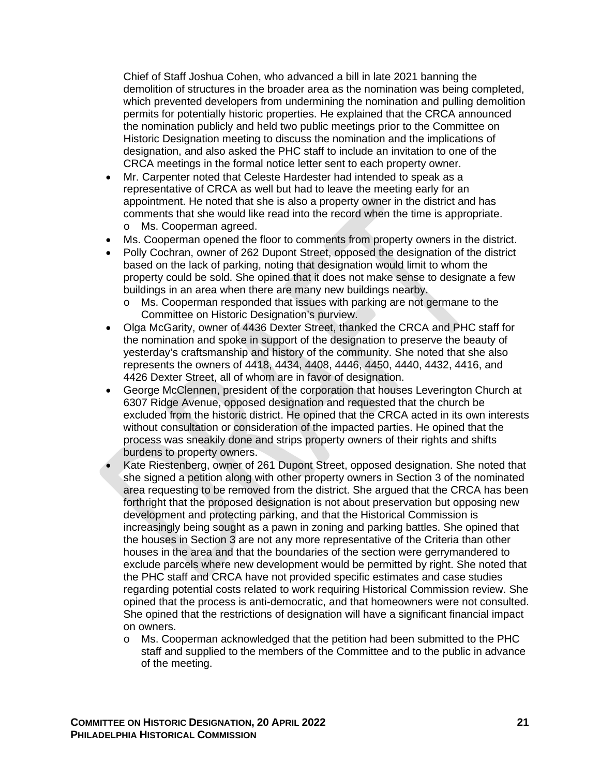Chief of Staff Joshua Cohen, who advanced a bill in late 2021 banning the demolition of structures in the broader area as the nomination was being completed, which prevented developers from undermining the nomination and pulling demolition permits for potentially historic properties. He explained that the CRCA announced the nomination publicly and held two public meetings prior to the Committee on Historic Designation meeting to discuss the nomination and the implications of designation, and also asked the PHC staff to include an invitation to one of the CRCA meetings in the formal notice letter sent to each property owner.

- Mr. Carpenter noted that Celeste Hardester had intended to speak as a representative of CRCA as well but had to leave the meeting early for an appointment. He noted that she is also a property owner in the district and has comments that she would like read into the record when the time is appropriate. o Ms. Cooperman agreed.
- Ms. Cooperman opened the floor to comments from property owners in the district.
- Polly Cochran, owner of 262 Dupont Street, opposed the designation of the district based on the lack of parking, noting that designation would limit to whom the property could be sold. She opined that it does not make sense to designate a few buildings in an area when there are many new buildings nearby.
	- o Ms. Cooperman responded that issues with parking are not germane to the Committee on Historic Designation's purview.
- Olga McGarity, owner of 4436 Dexter Street, thanked the CRCA and PHC staff for the nomination and spoke in support of the designation to preserve the beauty of yesterday's craftsmanship and history of the community. She noted that she also represents the owners of 4418, 4434, 4408, 4446, 4450, 4440, 4432, 4416, and 4426 Dexter Street, all of whom are in favor of designation.
- George McClennen, president of the corporation that houses Leverington Church at 6307 Ridge Avenue, opposed designation and requested that the church be excluded from the historic district. He opined that the CRCA acted in its own interests without consultation or consideration of the impacted parties. He opined that the process was sneakily done and strips property owners of their rights and shifts burdens to property owners.
- Kate Riestenberg, owner of 261 Dupont Street, opposed designation. She noted that she signed a petition along with other property owners in Section 3 of the nominated area requesting to be removed from the district. She argued that the CRCA has been forthright that the proposed designation is not about preservation but opposing new development and protecting parking, and that the Historical Commission is increasingly being sought as a pawn in zoning and parking battles. She opined that the houses in Section 3 are not any more representative of the Criteria than other houses in the area and that the boundaries of the section were gerrymandered to exclude parcels where new development would be permitted by right. She noted that the PHC staff and CRCA have not provided specific estimates and case studies regarding potential costs related to work requiring Historical Commission review. She opined that the process is anti-democratic, and that homeowners were not consulted. She opined that the restrictions of designation will have a significant financial impact on owners.
	- o Ms. Cooperman acknowledged that the petition had been submitted to the PHC staff and supplied to the members of the Committee and to the public in advance of the meeting.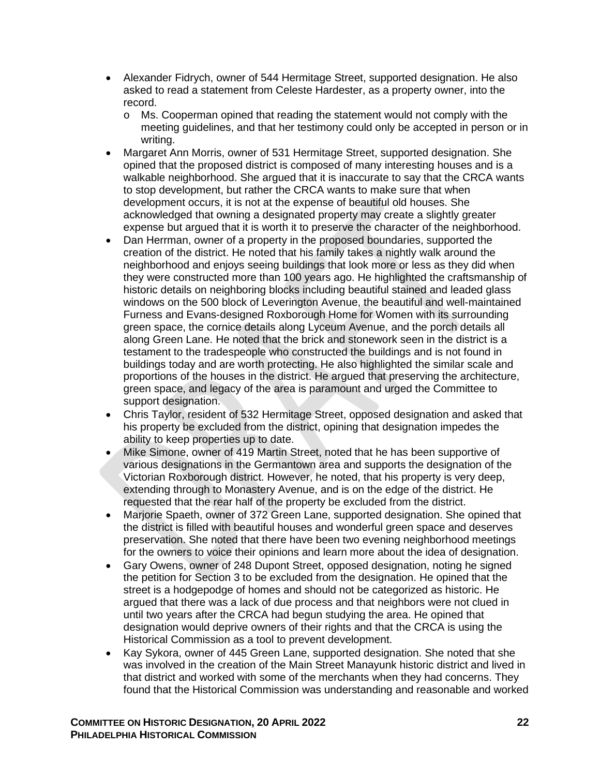- Alexander Fidrych, owner of 544 Hermitage Street, supported designation. He also asked to read a statement from Celeste Hardester, as a property owner, into the record.
	- o Ms. Cooperman opined that reading the statement would not comply with the meeting guidelines, and that her testimony could only be accepted in person or in writing.
- Margaret Ann Morris, owner of 531 Hermitage Street, supported designation. She opined that the proposed district is composed of many interesting houses and is a walkable neighborhood. She argued that it is inaccurate to say that the CRCA wants to stop development, but rather the CRCA wants to make sure that when development occurs, it is not at the expense of beautiful old houses. She acknowledged that owning a designated property may create a slightly greater expense but argued that it is worth it to preserve the character of the neighborhood.
- Dan Herrman, owner of a property in the proposed boundaries, supported the creation of the district. He noted that his family takes a nightly walk around the neighborhood and enjoys seeing buildings that look more or less as they did when they were constructed more than 100 years ago. He highlighted the craftsmanship of historic details on neighboring blocks including beautiful stained and leaded glass windows on the 500 block of Leverington Avenue, the beautiful and well-maintained Furness and Evans-designed Roxborough Home for Women with its surrounding green space, the cornice details along Lyceum Avenue, and the porch details all along Green Lane. He noted that the brick and stonework seen in the district is a testament to the tradespeople who constructed the buildings and is not found in buildings today and are worth protecting. He also highlighted the similar scale and proportions of the houses in the district. He argued that preserving the architecture, green space, and legacy of the area is paramount and urged the Committee to support designation.
- Chris Taylor, resident of 532 Hermitage Street, opposed designation and asked that his property be excluded from the district, opining that designation impedes the ability to keep properties up to date.
- Mike Simone, owner of 419 Martin Street, noted that he has been supportive of various designations in the Germantown area and supports the designation of the Victorian Roxborough district. However, he noted, that his property is very deep, extending through to Monastery Avenue, and is on the edge of the district. He requested that the rear half of the property be excluded from the district.
- Marjorie Spaeth, owner of 372 Green Lane, supported designation. She opined that the district is filled with beautiful houses and wonderful green space and deserves preservation. She noted that there have been two evening neighborhood meetings for the owners to voice their opinions and learn more about the idea of designation.
- Gary Owens, owner of 248 Dupont Street, opposed designation, noting he signed the petition for Section 3 to be excluded from the designation. He opined that the street is a hodgepodge of homes and should not be categorized as historic. He argued that there was a lack of due process and that neighbors were not clued in until two years after the CRCA had begun studying the area. He opined that designation would deprive owners of their rights and that the CRCA is using the Historical Commission as a tool to prevent development.
- Kay Sykora, owner of 445 Green Lane, supported designation. She noted that she was involved in the creation of the Main Street Manayunk historic district and lived in that district and worked with some of the merchants when they had concerns. They found that the Historical Commission was understanding and reasonable and worked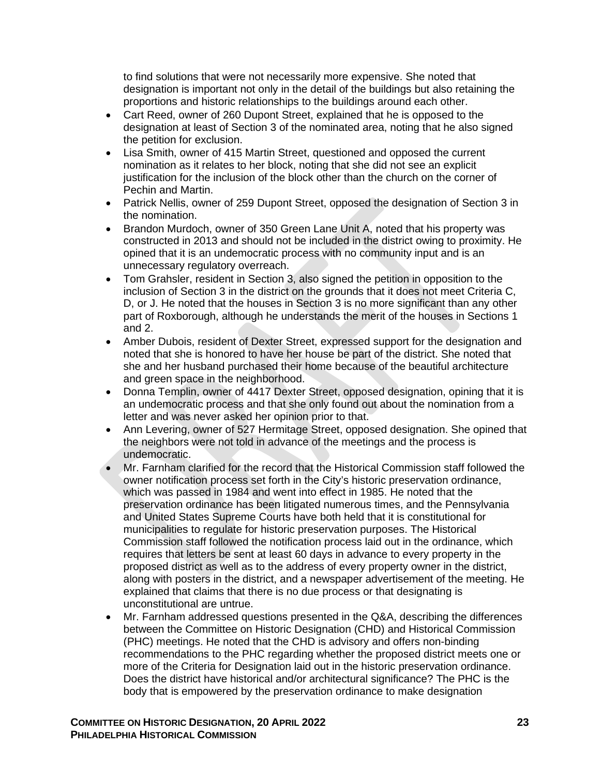to find solutions that were not necessarily more expensive. She noted that designation is important not only in the detail of the buildings but also retaining the proportions and historic relationships to the buildings around each other.

- Cart Reed, owner of 260 Dupont Street, explained that he is opposed to the designation at least of Section 3 of the nominated area, noting that he also signed the petition for exclusion.
- Lisa Smith, owner of 415 Martin Street, questioned and opposed the current nomination as it relates to her block, noting that she did not see an explicit justification for the inclusion of the block other than the church on the corner of Pechin and Martin.
- Patrick Nellis, owner of 259 Dupont Street, opposed the designation of Section 3 in the nomination.
- Brandon Murdoch, owner of 350 Green Lane Unit A, noted that his property was constructed in 2013 and should not be included in the district owing to proximity. He opined that it is an undemocratic process with no community input and is an unnecessary regulatory overreach.
- Tom Grahsler, resident in Section 3, also signed the petition in opposition to the inclusion of Section 3 in the district on the grounds that it does not meet Criteria C, D, or J. He noted that the houses in Section 3 is no more significant than any other part of Roxborough, although he understands the merit of the houses in Sections 1 and 2.
- Amber Dubois, resident of Dexter Street, expressed support for the designation and noted that she is honored to have her house be part of the district. She noted that she and her husband purchased their home because of the beautiful architecture and green space in the neighborhood.
- Donna Templin, owner of 4417 Dexter Street, opposed designation, opining that it is an undemocratic process and that she only found out about the nomination from a letter and was never asked her opinion prior to that.
- Ann Levering, owner of 527 Hermitage Street, opposed designation. She opined that the neighbors were not told in advance of the meetings and the process is undemocratic.
- Mr. Farnham clarified for the record that the Historical Commission staff followed the owner notification process set forth in the City's historic preservation ordinance, which was passed in 1984 and went into effect in 1985. He noted that the preservation ordinance has been litigated numerous times, and the Pennsylvania and United States Supreme Courts have both held that it is constitutional for municipalities to regulate for historic preservation purposes. The Historical Commission staff followed the notification process laid out in the ordinance, which requires that letters be sent at least 60 days in advance to every property in the proposed district as well as to the address of every property owner in the district, along with posters in the district, and a newspaper advertisement of the meeting. He explained that claims that there is no due process or that designating is unconstitutional are untrue.
- Mr. Farnham addressed questions presented in the Q&A, describing the differences between the Committee on Historic Designation (CHD) and Historical Commission (PHC) meetings. He noted that the CHD is advisory and offers non-binding recommendations to the PHC regarding whether the proposed district meets one or more of the Criteria for Designation laid out in the historic preservation ordinance. Does the district have historical and/or architectural significance? The PHC is the body that is empowered by the preservation ordinance to make designation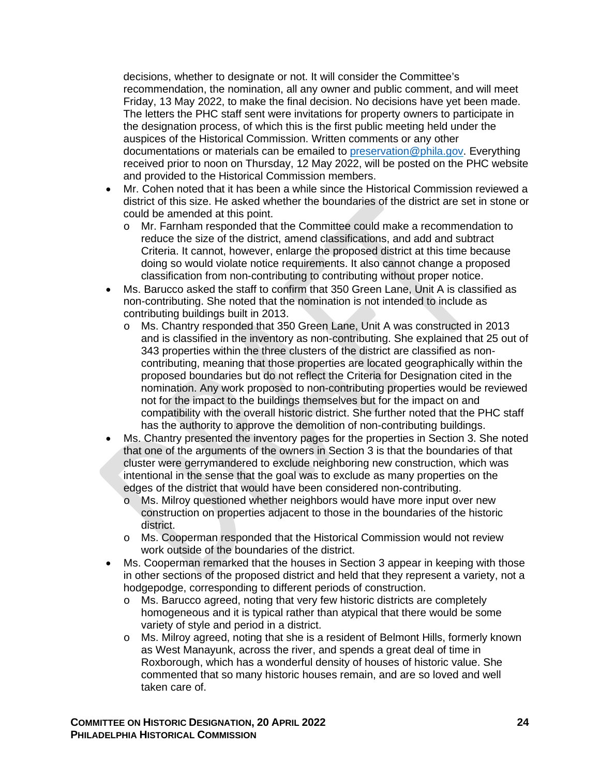decisions, whether to designate or not. It will consider the Committee's recommendation, the nomination, all any owner and public comment, and will meet Friday, 13 May 2022, to make the final decision. No decisions have yet been made. The letters the PHC staff sent were invitations for property owners to participate in the designation process, of which this is the first public meeting held under the auspices of the Historical Commission. Written comments or any other documentations or materials can be emailed to [preservation@phila.gov.](mailto:preservation@phila.gov) Everything received prior to noon on Thursday, 12 May 2022, will be posted on the PHC website and provided to the Historical Commission members.

- Mr. Cohen noted that it has been a while since the Historical Commission reviewed a district of this size. He asked whether the boundaries of the district are set in stone or could be amended at this point.
	- o Mr. Farnham responded that the Committee could make a recommendation to reduce the size of the district, amend classifications, and add and subtract Criteria. It cannot, however, enlarge the proposed district at this time because doing so would violate notice requirements. It also cannot change a proposed classification from non-contributing to contributing without proper notice.
- Ms. Barucco asked the staff to confirm that 350 Green Lane, Unit A is classified as non-contributing. She noted that the nomination is not intended to include as contributing buildings built in 2013.
	- o Ms. Chantry responded that 350 Green Lane, Unit A was constructed in 2013 and is classified in the inventory as non-contributing. She explained that 25 out of 343 properties within the three clusters of the district are classified as noncontributing, meaning that those properties are located geographically within the proposed boundaries but do not reflect the Criteria for Designation cited in the nomination. Any work proposed to non-contributing properties would be reviewed not for the impact to the buildings themselves but for the impact on and compatibility with the overall historic district. She further noted that the PHC staff has the authority to approve the demolition of non-contributing buildings.
- Ms. Chantry presented the inventory pages for the properties in Section 3. She noted that one of the arguments of the owners in Section 3 is that the boundaries of that cluster were gerrymandered to exclude neighboring new construction, which was intentional in the sense that the goal was to exclude as many properties on the edges of the district that would have been considered non-contributing.
	- o Ms. Milroy questioned whether neighbors would have more input over new construction on properties adjacent to those in the boundaries of the historic district.
	- o Ms. Cooperman responded that the Historical Commission would not review work outside of the boundaries of the district.
- Ms. Cooperman remarked that the houses in Section 3 appear in keeping with those in other sections of the proposed district and held that they represent a variety, not a hodgepodge, corresponding to different periods of construction.
	- o Ms. Barucco agreed, noting that very few historic districts are completely homogeneous and it is typical rather than atypical that there would be some variety of style and period in a district.
	- o Ms. Milroy agreed, noting that she is a resident of Belmont Hills, formerly known as West Manayunk, across the river, and spends a great deal of time in Roxborough, which has a wonderful density of houses of historic value. She commented that so many historic houses remain, and are so loved and well taken care of.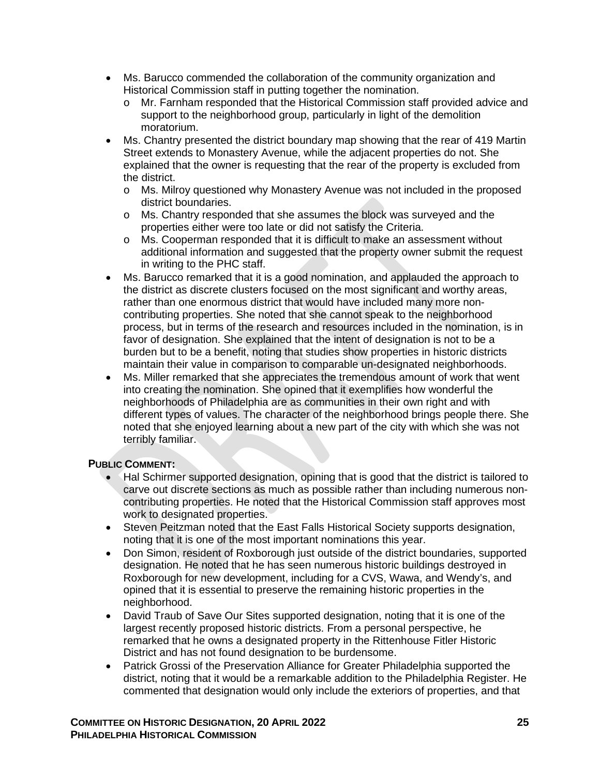- Ms. Barucco commended the collaboration of the community organization and Historical Commission staff in putting together the nomination.
	- o Mr. Farnham responded that the Historical Commission staff provided advice and support to the neighborhood group, particularly in light of the demolition moratorium.
- Ms. Chantry presented the district boundary map showing that the rear of 419 Martin Street extends to Monastery Avenue, while the adjacent properties do not. She explained that the owner is requesting that the rear of the property is excluded from the district.
	- o Ms. Milroy questioned why Monastery Avenue was not included in the proposed district boundaries.
	- o Ms. Chantry responded that she assumes the block was surveyed and the properties either were too late or did not satisfy the Criteria.
	- o Ms. Cooperman responded that it is difficult to make an assessment without additional information and suggested that the property owner submit the request in writing to the PHC staff.
- Ms. Barucco remarked that it is a good nomination, and applauded the approach to the district as discrete clusters focused on the most significant and worthy areas, rather than one enormous district that would have included many more noncontributing properties. She noted that she cannot speak to the neighborhood process, but in terms of the research and resources included in the nomination, is in favor of designation. She explained that the intent of designation is not to be a burden but to be a benefit, noting that studies show properties in historic districts maintain their value in comparison to comparable un-designated neighborhoods.
- Ms. Miller remarked that she appreciates the tremendous amount of work that went into creating the nomination. She opined that it exemplifies how wonderful the neighborhoods of Philadelphia are as communities in their own right and with different types of values. The character of the neighborhood brings people there. She noted that she enjoyed learning about a new part of the city with which she was not terribly familiar.

## **PUBLIC COMMENT:**

- Hal Schirmer supported designation, opining that is good that the district is tailored to carve out discrete sections as much as possible rather than including numerous noncontributing properties. He noted that the Historical Commission staff approves most work to designated properties.
- Steven Peitzman noted that the East Falls Historical Society supports designation, noting that it is one of the most important nominations this year.
- Don Simon, resident of Roxborough just outside of the district boundaries, supported designation. He noted that he has seen numerous historic buildings destroyed in Roxborough for new development, including for a CVS, Wawa, and Wendy's, and opined that it is essential to preserve the remaining historic properties in the neighborhood.
- David Traub of Save Our Sites supported designation, noting that it is one of the largest recently proposed historic districts. From a personal perspective, he remarked that he owns a designated property in the Rittenhouse Fitler Historic District and has not found designation to be burdensome.
- Patrick Grossi of the Preservation Alliance for Greater Philadelphia supported the district, noting that it would be a remarkable addition to the Philadelphia Register. He commented that designation would only include the exteriors of properties, and that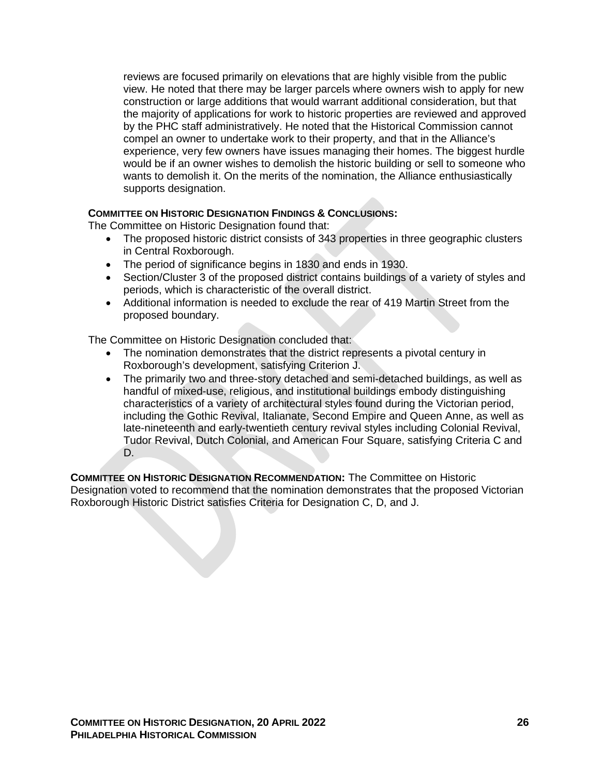reviews are focused primarily on elevations that are highly visible from the public view. He noted that there may be larger parcels where owners wish to apply for new construction or large additions that would warrant additional consideration, but that the majority of applications for work to historic properties are reviewed and approved by the PHC staff administratively. He noted that the Historical Commission cannot compel an owner to undertake work to their property, and that in the Alliance's experience, very few owners have issues managing their homes. The biggest hurdle would be if an owner wishes to demolish the historic building or sell to someone who wants to demolish it. On the merits of the nomination, the Alliance enthusiastically supports designation.

## **COMMITTEE ON HISTORIC DESIGNATION FINDINGS & CONCLUSIONS:**

The Committee on Historic Designation found that:

- The proposed historic district consists of 343 properties in three geographic clusters in Central Roxborough.
- The period of significance begins in 1830 and ends in 1930.
- Section/Cluster 3 of the proposed district contains buildings of a variety of styles and periods, which is characteristic of the overall district.
- Additional information is needed to exclude the rear of 419 Martin Street from the proposed boundary.

The Committee on Historic Designation concluded that:

- The nomination demonstrates that the district represents a pivotal century in Roxborough's development, satisfying Criterion J.
- The primarily two and three-story detached and semi-detached buildings, as well as handful of mixed-use, religious, and institutional buildings embody distinguishing characteristics of a variety of architectural styles found during the Victorian period, including the Gothic Revival, Italianate, Second Empire and Queen Anne, as well as late-nineteenth and early-twentieth century revival styles including Colonial Revival, Tudor Revival, Dutch Colonial, and American Four Square, satisfying Criteria C and D.

**COMMITTEE ON HISTORIC DESIGNATION RECOMMENDATION:** The Committee on Historic Designation voted to recommend that the nomination demonstrates that the proposed Victorian Roxborough Historic District satisfies Criteria for Designation C, D, and J.